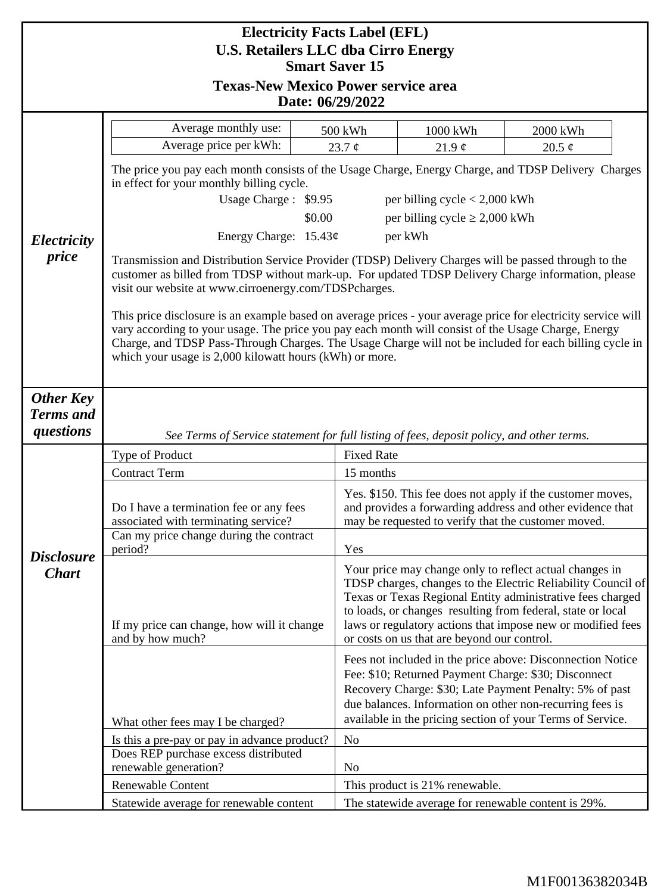| <b>Electricity Facts Label (EFL)</b><br><b>U.S. Retailers LLC dba Cirro Energy</b><br><b>Smart Saver 15</b><br><b>Texas-New Mexico Power service area</b> |                                                                                                                                                                                                                                                                                                                                                                                           |                |                                                                                                                                                                                                                                                                                                                                                                    |             |  |
|-----------------------------------------------------------------------------------------------------------------------------------------------------------|-------------------------------------------------------------------------------------------------------------------------------------------------------------------------------------------------------------------------------------------------------------------------------------------------------------------------------------------------------------------------------------------|----------------|--------------------------------------------------------------------------------------------------------------------------------------------------------------------------------------------------------------------------------------------------------------------------------------------------------------------------------------------------------------------|-------------|--|
| Date: 06/29/2022                                                                                                                                          |                                                                                                                                                                                                                                                                                                                                                                                           |                |                                                                                                                                                                                                                                                                                                                                                                    |             |  |
|                                                                                                                                                           | Average monthly use:                                                                                                                                                                                                                                                                                                                                                                      | 500 kWh        | 1000 kWh                                                                                                                                                                                                                                                                                                                                                           | 2000 kWh    |  |
|                                                                                                                                                           | Average price per kWh:                                                                                                                                                                                                                                                                                                                                                                    | 23.7 $\phi$    | 21.9 $\phi$                                                                                                                                                                                                                                                                                                                                                        | 20.5 $\phi$ |  |
|                                                                                                                                                           | The price you pay each month consists of the Usage Charge, Energy Charge, and TDSP Delivery Charges<br>in effect for your monthly billing cycle.                                                                                                                                                                                                                                          |                |                                                                                                                                                                                                                                                                                                                                                                    |             |  |
|                                                                                                                                                           | Usage Charge: \$9.95<br>per billing cycle $< 2,000$ kWh                                                                                                                                                                                                                                                                                                                                   |                |                                                                                                                                                                                                                                                                                                                                                                    |             |  |
|                                                                                                                                                           | per billing cycle $\geq 2,000$ kWh<br>\$0.00                                                                                                                                                                                                                                                                                                                                              |                |                                                                                                                                                                                                                                                                                                                                                                    |             |  |
| Electricity                                                                                                                                               | Energy Charge: $15.43¢$<br>per kWh                                                                                                                                                                                                                                                                                                                                                        |                |                                                                                                                                                                                                                                                                                                                                                                    |             |  |
| price                                                                                                                                                     | Transmission and Distribution Service Provider (TDSP) Delivery Charges will be passed through to the<br>customer as billed from TDSP without mark-up. For updated TDSP Delivery Charge information, please<br>visit our website at www.cirroenergy.com/TDSPcharges.                                                                                                                       |                |                                                                                                                                                                                                                                                                                                                                                                    |             |  |
|                                                                                                                                                           | This price disclosure is an example based on average prices - your average price for electricity service will<br>vary according to your usage. The price you pay each month will consist of the Usage Charge, Energy<br>Charge, and TDSP Pass-Through Charges. The Usage Charge will not be included for each billing cycle in<br>which your usage is 2,000 kilowatt hours (kWh) or more. |                |                                                                                                                                                                                                                                                                                                                                                                    |             |  |
| <b>Other Key</b><br><b>Terms</b> and<br>questions                                                                                                         | See Terms of Service statement for full listing of fees, deposit policy, and other terms.                                                                                                                                                                                                                                                                                                 |                |                                                                                                                                                                                                                                                                                                                                                                    |             |  |
| <b>Disclosure</b><br><b>Chart</b>                                                                                                                         | Type of Product                                                                                                                                                                                                                                                                                                                                                                           |                | <b>Fixed Rate</b>                                                                                                                                                                                                                                                                                                                                                  |             |  |
|                                                                                                                                                           | <b>Contract Term</b>                                                                                                                                                                                                                                                                                                                                                                      | 15 months      |                                                                                                                                                                                                                                                                                                                                                                    |             |  |
|                                                                                                                                                           | Do I have a termination fee or any fees<br>associated with terminating service?                                                                                                                                                                                                                                                                                                           |                | Yes. \$150. This fee does not apply if the customer moves,<br>and provides a forwarding address and other evidence that<br>may be requested to verify that the customer moved.                                                                                                                                                                                     |             |  |
|                                                                                                                                                           | Can my price change during the contract<br>period?                                                                                                                                                                                                                                                                                                                                        | Yes            |                                                                                                                                                                                                                                                                                                                                                                    |             |  |
|                                                                                                                                                           | If my price can change, how will it change<br>and by how much?                                                                                                                                                                                                                                                                                                                            |                | Your price may change only to reflect actual changes in<br>TDSP charges, changes to the Electric Reliability Council of<br>Texas or Texas Regional Entity administrative fees charged<br>to loads, or changes resulting from federal, state or local<br>laws or regulatory actions that impose new or modified fees<br>or costs on us that are beyond our control. |             |  |
|                                                                                                                                                           | Fees not included in the price above: Disconnection Notice<br>Fee: \$10; Returned Payment Charge: \$30; Disconnect<br>Recovery Charge: \$30; Late Payment Penalty: 5% of past<br>due balances. Information on other non-recurring fees is<br>available in the pricing section of your Terms of Service.<br>What other fees may I be charged?                                              |                |                                                                                                                                                                                                                                                                                                                                                                    |             |  |
|                                                                                                                                                           | Is this a pre-pay or pay in advance product?                                                                                                                                                                                                                                                                                                                                              | N <sub>o</sub> |                                                                                                                                                                                                                                                                                                                                                                    |             |  |
|                                                                                                                                                           | Does REP purchase excess distributed                                                                                                                                                                                                                                                                                                                                                      |                |                                                                                                                                                                                                                                                                                                                                                                    |             |  |
|                                                                                                                                                           | renewable generation?                                                                                                                                                                                                                                                                                                                                                                     | N <sub>o</sub> |                                                                                                                                                                                                                                                                                                                                                                    |             |  |
|                                                                                                                                                           | Renewable Content<br>This product is 21% renewable.<br>Statewide average for renewable content<br>The statewide average for renewable content is 29%.                                                                                                                                                                                                                                     |                |                                                                                                                                                                                                                                                                                                                                                                    |             |  |
|                                                                                                                                                           |                                                                                                                                                                                                                                                                                                                                                                                           |                |                                                                                                                                                                                                                                                                                                                                                                    |             |  |